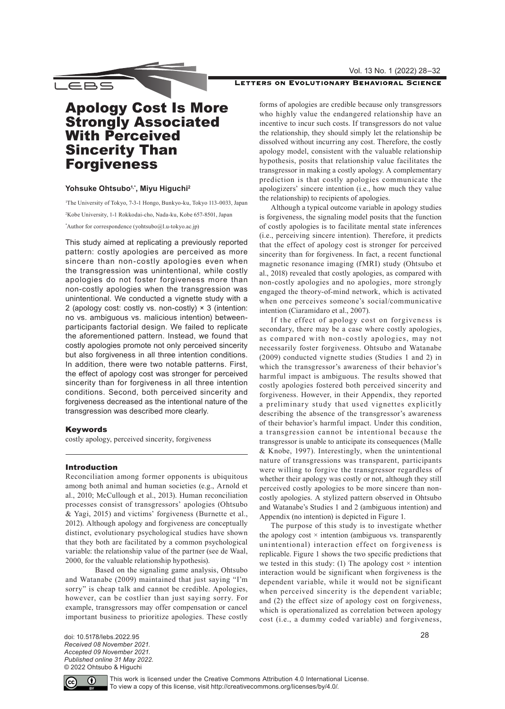## Vol. 13 No. 1 (2022) 28–32



## LETTERS ON EVOLUTIONARY BEHAVIORAL SCIENCE

# Apology Cost Is More Strongly Associated With Perceived Sincerity Than Forgiveness

# Yohsuke Ohtsubo<sup>1,\*</sup>, Miyu Higuchi<sup>2</sup>

1 The University of Tokyo, 7-3-1 Hongo, Bunkyo-ku, Tokyo 113-0033, Japan 2 Kobe University, 1-1 Rokkodai-cho, Nada-ku, Kobe 657-8501, Japan \* Author for correspondence ([yohtsubo@l.u-tokyo.ac.jp](mailto:yohtsubo%40l.u-tokyo.ac.jp?subject=))

This study aimed at replicating a previously reported pattern: costly apologies are perceived as more sincere than non-costly apologies even when the transgression was unintentional, while costly apologies do not foster forgiveness more than non-costly apologies when the transgression was unintentional. We conducted a vignette study with a 2 (apology cost: costly vs. non-costly)  $\times$  3 (intention: no vs. ambiguous vs. malicious intention) betweenparticipants factorial design. We failed to replicate the aforementioned pattern. Instead, we found that costly apologies promote not only perceived sincerity but also forgiveness in all three intention conditions. In addition, there were two notable patterns. First, the effect of apology cost was stronger for perceived sincerity than for forgiveness in all three intention conditions. Second, both perceived sincerity and forgiveness decreased as the intentional nature of the transgression was described more clearly.

## Keywords

costly apology, perceived sincerity, forgiveness

## Introduction

Reconciliation among former opponents is ubiquitous among both animal and human societies (e.g., Arnold et al., 2010; McCullough et al., 2013). Human reconciliation processes consist of transgressors' apologies (Ohtsubo & Yagi, 2015) and victims' forgiveness (Burnette et al., 2012). Although apology and forgiveness are conceptually distinct, evolutionary psychological studies have shown that they both are facilitated by a common psychological variable: the relationship value of the partner (see de Waal, 2000, for the valuable relationship hypothesis).

Based on the signaling game analysis, Ohtsubo and Watanabe (2009) maintained that just saying "I'm sorry" is cheap talk and cannot be credible. Apologies, however, can be costlier than just saying sorry. For example, transgressors may offer compensation or cancel important business to prioritize apologies. These costly forms of apologies are credible because only transgressors who highly value the endangered relationship have an incentive to incur such costs. If transgressors do not value the relationship, they should simply let the relationship be dissolved without incurring any cost. Therefore, the costly apology model, consistent with the valuable relationship hypothesis, posits that relationship value facilitates the transgressor in making a costly apology. A complementary prediction is that costly apologies communicate the apologizers' sincere intention (i.e., how much they value the relationship) to recipients of apologies.

Although a typical outcome variable in apology studies is forgiveness, the signaling model posits that the function of costly apologies is to facilitate mental state inferences (i.e., perceiving sincere intention). Therefore, it predicts that the effect of apology cost is stronger for perceived sincerity than for forgiveness. In fact, a recent functional magnetic resonance imaging (fMRI) study (Ohtsubo et al., 2018) revealed that costly apologies, as compared with non-costly apologies and no apologies, more strongly engaged the theory-of-mind network, which is activated when one perceives someone's social/communicative intention (Ciaramidaro et al., 2007).

If the effect of apology cost on forgiveness is secondary, there may be a case where costly apologies, as compared with non-costly apologies, may not necessarily foster forgiveness. Ohtsubo and Watanabe (2009) conducted vignette studies (Studies 1 and 2) in which the transgressor's awareness of their behavior's harmful impact is ambiguous. The results showed that costly apologies fostered both perceived sincerity and forgiveness. However, in their Appendix, they reported a preliminary study that used vignettes explicitly describing the absence of the transgressor's awareness of their behavior's harmful impact. Under this condition, a transgression cannot be intentional because the transgressor is unable to anticipate its consequences (Malle & Knobe, 1997). Interestingly, when the unintentional nature of transgressions was transparent, participants were willing to forgive the transgressor regardless of whether their apology was costly or not, although they still perceived costly apologies to be more sincere than noncostly apologies. A stylized pattern observed in Ohtsubo and Watanabe's Studies 1 and 2 (ambiguous intention) and Appendix (no intention) is depicted in Figure 1.

The purpose of this study is to investigate whether the apology cost  $\times$  intention (ambiguous vs. transparently unintentional) interaction effect on forgiveness is replicable. Figure 1 shows the two specific predictions that we tested in this study: (1) The apology cost  $\times$  intention interaction would be significant when forgiveness is the dependent variable, while it would not be significant when perceived sincerity is the dependent variable; and (2) the effect size of apology cost on forgiveness, which is operationalized as correlation between apology cost (i.e., a dummy coded variable) and forgiveness,

doi: 10.5178/lebs.2022.95 *Received 08 November 2021. Accepted 09 November 2021. Published online 31 May 2022.* © 2022 Ohtsubo & Higuchi

28

 $\left( \cdot \right)$ 

This work is licensed under the Creative Commons Attribution 4.0 International License. To view a copy of this license, visit <http://creativecommons.org/licenses/by/4.0/>.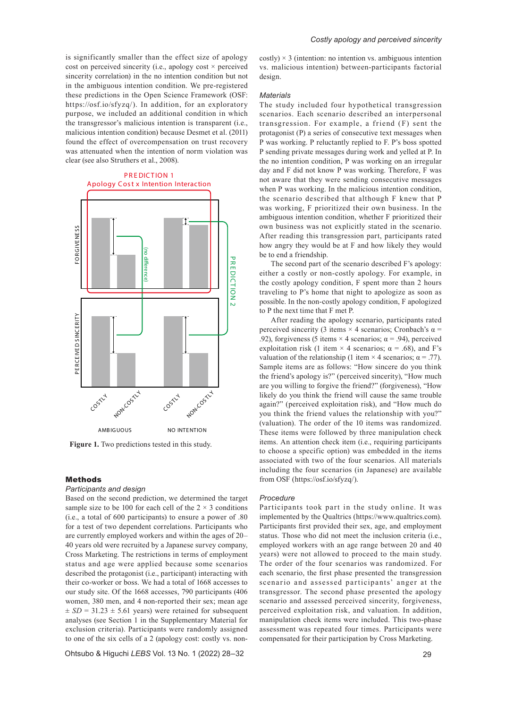is significantly smaller than the effect size of apology cost on perceived sincerity (i.e., apology cost  $\times$  perceived sincerity correlation) in the no intention condition but not in the ambiguous intention condition. We pre-registered these predictions in the Open Science Framework (OSF: [https://osf.io/sfyzq/\)](https://osf.io/sfyzq/). In addition, for an exploratory purpose, we included an additional condition in which the transgressor's malicious intention is transparent (i.e., malicious intention condition) because Desmet et al. (2011) found the effect of overcompensation on trust recovery was attenuated when the intention of norm violation was clear (see also Struthers et al., 2008).



**Figure 1.** Two predictions tested in this study.

# Methods

## *Participants and design*

Based on the second prediction, we determined the target sample size to be 100 for each cell of the  $2 \times 3$  conditions (i.e., a total of 600 participants) to ensure a power of .80 for a test of two dependent correlations. Participants who are currently employed workers and within the ages of 20– 40 years old were recruited by a Japanese survey company, Cross Marketing. The restrictions in terms of employment status and age were applied because some scenarios described the protagonist (i.e., participant) interacting with their co-worker or boss. We had a total of 1668 accesses to our study site. Of the 1668 accesses, 790 participants (406 women, 380 men, and 4 non-reported their sex; mean age  $\pm SD = 31.23 \pm 5.61$  years) were retained for subsequent analyses (see Section 1 in the Supplementary Material for exclusion criteria). Participants were randomly assigned to one of the six cells of a 2 (apology cost: costly vs. non-

Ohtsubo & Higuchi *LEBS* Vol. 13 No. 1 (2022) 28–32

 $costly \times 3$  (intention: no intention vs. ambiguous intention vs. malicious intention) between-participants factorial design.

## *Materials*

The study included four hypothetical transgression scenarios. Each scenario described an interpersonal transgression. For example, a friend (F) sent the protagonist (P) a series of consecutive text messages when P was working. P reluctantly replied to F. P's boss spotted P sending private messages during work and yelled at P. In the no intention condition, P was working on an irregular day and F did not know P was working. Therefore, F was not aware that they were sending consecutive messages when P was working. In the malicious intention condition, the scenario described that although F knew that P was working, F prioritized their own business. In the ambiguous intention condition, whether F prioritized their own business was not explicitly stated in the scenario. After reading this transgression part, participants rated how angry they would be at F and how likely they would be to end a friendship.

The second part of the scenario described F's apology: either a costly or non-costly apology. For example, in the costly apology condition, F spent more than 2 hours traveling to P's home that night to apologize as soon as possible. In the non-costly apology condition, F apologized to P the next time that F met P.

After reading the apology scenario, participants rated perceived sincerity (3 items  $\times$  4 scenarios; Cronbach's  $\alpha$  = .92), forgiveness (5 items  $\times$  4 scenarios;  $\alpha$  = .94), perceived exploitation risk (1 item  $\times$  4 scenarios;  $\alpha$  = .68), and F's valuation of the relationship (1 item  $\times$  4 scenarios;  $\alpha$  = .77). Sample items are as follows: "How sincere do you think the friend's apology is?" (perceived sincerity), "How much are you willing to forgive the friend?" (forgiveness), "How likely do you think the friend will cause the same trouble again?" (perceived exploitation risk), and "How much do you think the friend values the relationship with you?" (valuation). The order of the 10 items was randomized. These items were followed by three manipulation check items. An attention check item (i.e., requiring participants to choose a specific option) was embedded in the items associated with two of the four scenarios. All materials including the four scenarios (in Japanese) are available from OSF (<https://osf.io/sfyzq/>).

#### *Procedure*

Participants took part in the study online. It was implemented by the Qualtrics ([https://www.qualtrics.com\)](https://www.qualtrics.com). Participants first provided their sex, age, and employment status. Those who did not meet the inclusion criteria (i.e., employed workers with an age range between 20 and 40 years) were not allowed to proceed to the main study. The order of the four scenarios was randomized. For each scenario, the first phase presented the transgression scenario and assessed participants' anger at the transgressor. The second phase presented the apology scenario and assessed perceived sincerity, forgiveness, perceived exploitation risk, and valuation. In addition, manipulation check items were included. This two-phase assessment was repeated four times. Participants were compensated for their participation by Cross Marketing.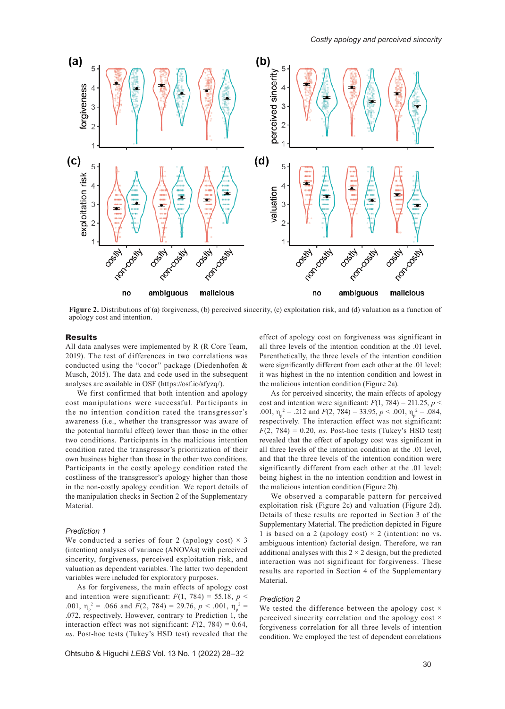

**Figure 2.** Distributions of (a) forgiveness, (b) perceived sincerity, (c) exploitation risk, and (d) valuation as a function of apology cost and intention.

#### **Results**

All data analyses were implemented by R (R Core Team, 2019). The test of differences in two correlations was conducted using the "cocor" package (Diedenhofen & Musch, 2015). The data and code used in the subsequent analyses are available in OSF ([https://osf.io/sfyzq/\)](https://osf.io/sfyzq/).

We first confirmed that both intention and apology cost manipulations were successful. Participants in the no intention condition rated the transgressor's awareness (i.e., whether the transgressor was aware of the potential harmful effect) lower than those in the other two conditions. Participants in the malicious intention condition rated the transgressor's prioritization of their own business higher than those in the other two conditions. Participants in the costly apology condition rated the costliness of the transgressor's apology higher than those in the non-costly apology condition. We report details of the manipulation checks in Section 2 of the Supplementary Material.

### *Prediction 1*

We conducted a series of four 2 (apology cost)  $\times$  3 (intention) analyses of variance (ANOVAs) with perceived sincerity, forgiveness, perceived exploitation risk, and valuation as dependent variables. The latter two dependent variables were included for exploratory purposes.

As for forgiveness, the main effects of apology cost and intention were significant:  $F(1, 784) = 55.18$ ,  $p <$ .001,  $\eta_p^2 = .066$  and  $F(2, 784) = 29.76$ ,  $p < .001$ ,  $\eta_p^2 =$ .072, respectively. However, contrary to Prediction 1, the interaction effect was not significant:  $F(2, 784) = 0.64$ , *ns*. Post-hoc tests (Tukey's HSD test) revealed that the

Ohtsubo & Higuchi *LEBS* Vol. 13 No. 1 (2022) 28–32

effect of apology cost on forgiveness was significant in all three levels of the intention condition at the .01 level. Parenthetically, the three levels of the intention condition were significantly different from each other at the .01 level: it was highest in the no intention condition and lowest in the malicious intention condition (Figure 2a).

As for perceived sincerity, the main effects of apology cost and intention were significant:  $F(1, 784) = 211.25$ ,  $p <$ .001,  $\eta_p^2 = .212$  and  $F(2, 784) = 33.95$ ,  $p < .001$ ,  $\eta_p^2 = .084$ , respectively. The interaction effect was not significant:  $F(2, 784) = 0.20$ , *ns*. Post-hoc tests (Tukey's HSD test) revealed that the effect of apology cost was significant in all three levels of the intention condition at the .01 level, and that the three levels of the intention condition were significantly different from each other at the .01 level: being highest in the no intention condition and lowest in the malicious intention condition (Figure 2b).

We observed a comparable pattern for perceived exploitation risk (Figure 2c) and valuation (Figure 2d). Details of these results are reported in Section 3 of the Supplementary Material. The prediction depicted in Figure 1 is based on a 2 (apology cost)  $\times$  2 (intention: no vs. ambiguous intention) factorial design. Therefore, we ran additional analyses with this  $2 \times 2$  design, but the predicted interaction was not significant for forgiveness. These results are reported in Section 4 of the Supplementary Material.

## *Prediction 2*

We tested the difference between the apology cost  $\times$ perceived sincerity correlation and the apology cost  $\times$ forgiveness correlation for all three levels of intention condition. We employed the test of dependent correlations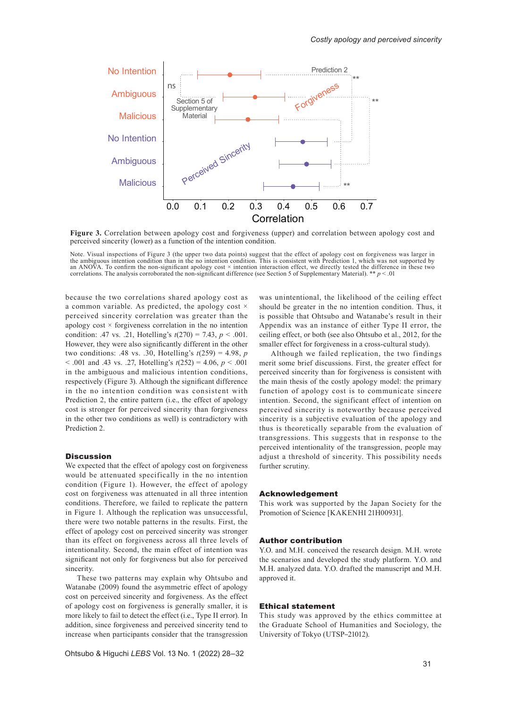

**Figure 3.** Correlation between apology cost and forgiveness (upper) and correlation between apology cost and perceived sincerity (lower) as a function of the intention condition.

Note. Visual inspections of Figure 3 (the upper two data points) suggest that the effect of apology cost on forgiveness was larger in the ambiguous intention condition than in the no intention condition. This is consistent with Prediction 1, which was not supported by<br>an ANOVA. To confirm the non-significant apology cost × intention interaction effect, w correlations. The analysis corroborated the non-significant difference (see Section 5 of Supplementary Material). \*\*  $p < .01$ 

because the two correlations shared apology cost as a common variable. As predicted, the apology cost  $\times$ perceived sincerity correlation was greater than the apology cost  $\times$  forgiveness correlation in the no intention condition: .47 vs. .21, Hotelling's *t*(270) = 7.43, *p* < .001. However, they were also significantly different in the other two conditions: .48 vs. .30, Hotelling's *t*(259) = 4.98, *p*  < .001 and .43 vs. .27, Hotelling's *t*(252) = 4.06, *p* < .001 in the ambiguous and malicious intention conditions, respectively (Figure 3). Although the significant difference in the no intention condition was consistent with Prediction 2, the entire pattern (i.e., the effect of apology cost is stronger for perceived sincerity than forgiveness in the other two conditions as well) is contradictory with Prediction 2.

## **Discussion**

We expected that the effect of apology cost on forgiveness would be attenuated specifically in the no intention condition (Figure 1). However, the effect of apology cost on forgiveness was attenuated in all three intention conditions. Therefore, we failed to replicate the pattern in Figure 1. Although the replication was unsuccessful, there were two notable patterns in the results. First, the effect of apology cost on perceived sincerity was stronger than its effect on forgiveness across all three levels of intentionality. Second, the main effect of intention was significant not only for forgiveness but also for perceived sincerity.

These two patterns may explain why Ohtsubo and Watanabe (2009) found the asymmetric effect of apology cost on perceived sincerity and forgiveness. As the effect of apology cost on forgiveness is generally smaller, it is more likely to fail to detect the effect (i.e., Type II error). In addition, since forgiveness and perceived sincerity tend to increase when participants consider that the transgression

Ohtsubo & Higuchi *LEBS* Vol. 13 No. 1 (2022) 28–32

was unintentional, the likelihood of the ceiling effect should be greater in the no intention condition. Thus, it is possible that Ohtsubo and Watanabe's result in their Appendix was an instance of either Type II error, the ceiling effect, or both (see also Ohtsubo et al., 2012, for the smaller effect for forgiveness in a cross-cultural study).

Although we failed replication, the two findings merit some brief discussions. First, the greater effect for perceived sincerity than for forgiveness is consistent with the main thesis of the costly apology model: the primary function of apology cost is to communicate sincere intention. Second, the significant effect of intention on perceived sincerity is noteworthy because perceived sincerity is a subjective evaluation of the apology and thus is theoretically separable from the evaluation of transgressions. This suggests that in response to the perceived intentionality of the transgression, people may adjust a threshold of sincerity. This possibility needs further scrutiny.

## Acknowledgement

This work was supported by the Japan Society for the Promotion of Science [KAKENHI 21H00931].

#### Author contribution

Y.O. and M.H. conceived the research design. M.H. wrote the scenarios and developed the study platform. Y.O. and M.H. analyzed data. Y.O. drafted the manuscript and M.H. approved it.

#### Ethical statement

This study was approved by the ethics committee at the Graduate School of Humanities and Sociology, the University of Tokyo (UTSP–21012).